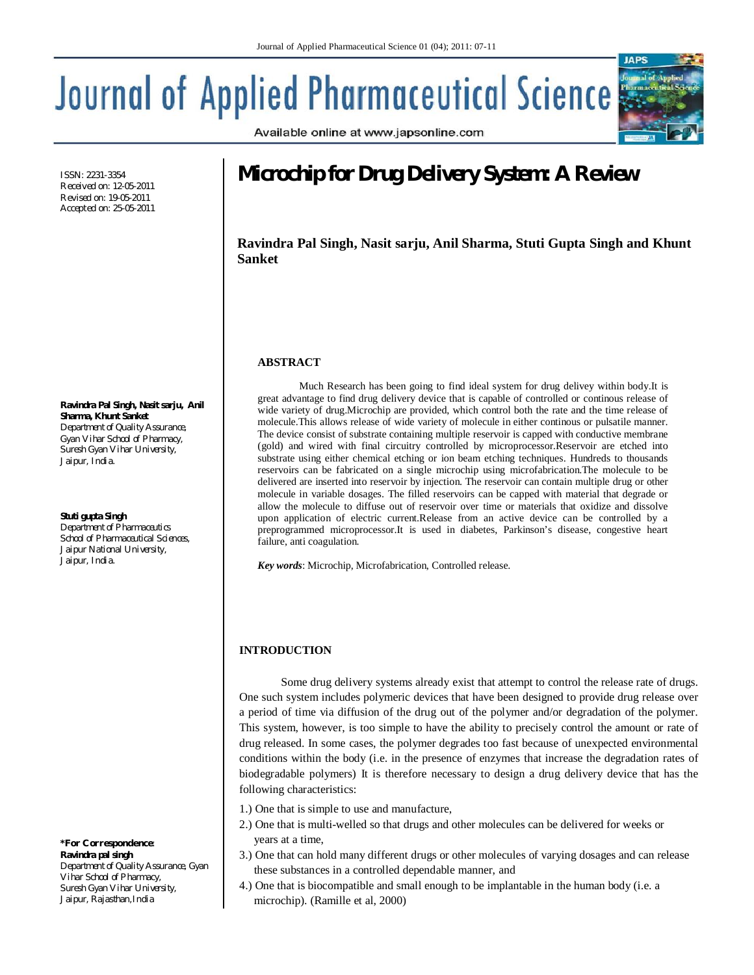# **Journal of Applied Pharmaceutical Science**



Available online at www.japsonline.com

ISSN: 2231-3354 Received on: 12-05-2011 Revised on: 19-05-2011 Accepted on: 25-05-2011

**Ravindra Pal Singh, Nasit sarju, Anil Sharma, Khunt Sanket** *Department of Quality Assurance, Gyan Vihar School of Pharmacy,* 

*Suresh Gyan Vihar University, Jaipur, India.*

**Stuti gupta Singh**

*Department of Pharmaceutics School of Pharmaceutical Sciences, Jaipur National University, Jaipur, India.*

*\*For Correspondence:*  **Ravindra pal singh**  *Department of Quality Assurance, Gyan Vihar School of Pharmacy, Suresh Gyan Vihar University, Jaipur, Rajasthan,India*

# **Microchip for Drug Delivery System: A Review**

**Ravindra Pal Singh, Nasit sarju, Anil Sharma, Stuti Gupta Singh and Khunt Sanket**

## **ABSTRACT**

Much Research has been going to find ideal system for drug delivey within body.It is great advantage to find drug delivery device that is capable of controlled or continous release of wide variety of drug.Microchip are provided, which control both the rate and the time release of molecule.This allows release of wide variety of molecule in either continous or pulsatile manner. The device consist of substrate containing multiple reservoir is capped with conductive membrane (gold) and wired with final circuitry controlled by microprocessor.Reservoir are etched into substrate using either chemical etching or ion beam etching techniques. Hundreds to thousands reservoirs can be fabricated on a single microchip using microfabrication.The molecule to be delivered are inserted into reservoir by injection. The reservoir can contain multiple drug or other molecule in variable dosages. The filled reservoirs can be capped with material that degrade or allow the molecule to diffuse out of reservoir over time or materials that oxidize and dissolve upon application of electric current.Release from an active device can be controlled by a preprogrammed microprocessor.It is used in diabetes, Parkinson's disease, congestive heart failure, anti coagulation.

*Key words*: Microchip, Microfabrication, Controlled release.

# **INTRODUCTION**

Some drug delivery systems already exist that attempt to control the release rate of drugs. One such system includes polymeric devices that have been designed to provide drug release over a period of time via diffusion of the drug out of the polymer and/or degradation of the polymer. This system, however, is too simple to have the ability to precisely control the amount or rate of drug released. In some cases, the polymer degrades too fast because of unexpected environmental conditions within the body (i.e. in the presence of enzymes that increase the degradation rates of biodegradable polymers) It is therefore necessary to design a drug delivery device that has the following characteristics:

- 1.) One that is simple to use and manufacture,
- 2.) One that is multi-welled so that drugs and other molecules can be delivered for weeks or years at a time,
- 3.) One that can hold many different drugs or other molecules of varying dosages and can release these substances in a controlled dependable manner, and
- 4.) One that is biocompatible and small enough to be implantable in the human body (i.e. a microchip). (Ramille et al, 2000)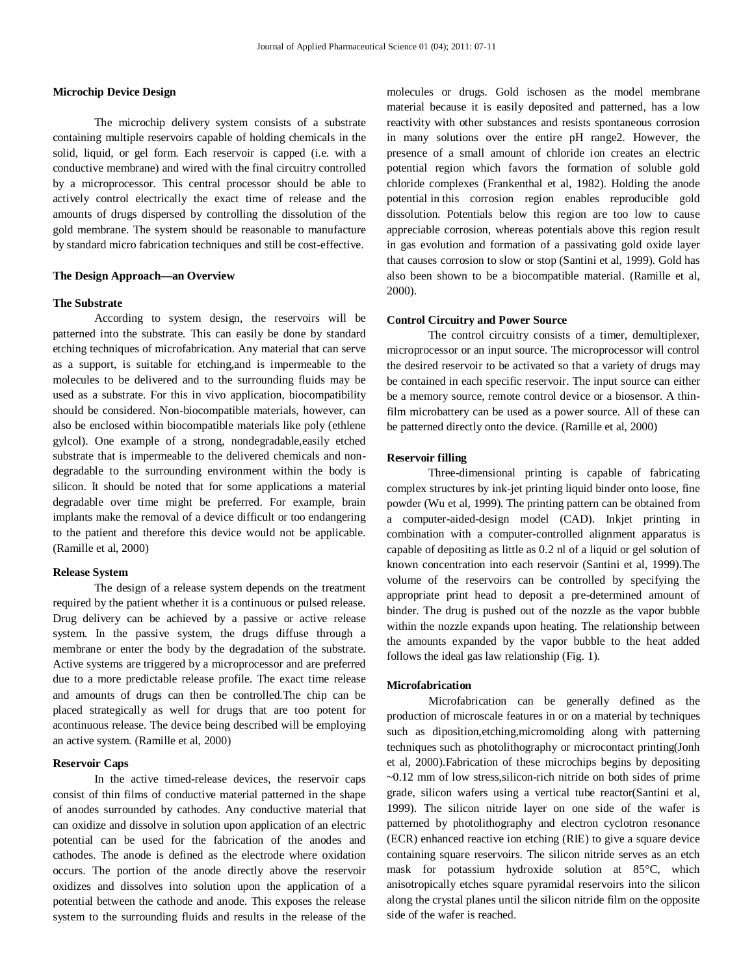#### **Microchip Device Design**

The microchip delivery system consists of a substrate containing multiple reservoirs capable of holding chemicals in the solid, liquid, or gel form. Each reservoir is capped (i.e. with a conductive membrane) and wired with the final circuitry controlled by a microprocessor. This central processor should be able to actively control electrically the exact time of release and the amounts of drugs dispersed by controlling the dissolution of the gold membrane. The system should be reasonable to manufacture by standard micro fabrication techniques and still be cost-effective.

#### **The Design Approach—an Overview**

#### **The Substrate**

According to system design, the reservoirs will be patterned into the substrate. This can easily be done by standard etching techniques of microfabrication. Any material that can serve as a support, is suitable for etching,and is impermeable to the molecules to be delivered and to the surrounding fluids may be used as a substrate. For this in vivo application, biocompatibility should be considered. Non-biocompatible materials, however, can also be enclosed within biocompatible materials like poly (ethlene gylcol). One example of a strong, nondegradable,easily etched substrate that is impermeable to the delivered chemicals and nondegradable to the surrounding environment within the body is silicon. It should be noted that for some applications a material degradable over time might be preferred. For example, brain implants make the removal of a device difficult or too endangering to the patient and therefore this device would not be applicable. (Ramille et al, 2000)

#### **Release System**

The design of a release system depends on the treatment required by the patient whether it is a continuous or pulsed release. Drug delivery can be achieved by a passive or active release system. In the passive system, the drugs diffuse through a membrane or enter the body by the degradation of the substrate. Active systems are triggered by a microprocessor and are preferred due to a more predictable release profile. The exact time release and amounts of drugs can then be controlled.The chip can be placed strategically as well for drugs that are too potent for acontinuous release. The device being described will be employing an active system. (Ramille et al, 2000)

#### **Reservoir Caps**

In the active timed-release devices, the reservoir caps consist of thin films of conductive material patterned in the shape of anodes surrounded by cathodes. Any conductive material that can oxidize and dissolve in solution upon application of an electric potential can be used for the fabrication of the anodes and cathodes. The anode is defined as the electrode where oxidation occurs. The portion of the anode directly above the reservoir oxidizes and dissolves into solution upon the application of a potential between the cathode and anode. This exposes the release system to the surrounding fluids and results in the release of the molecules or drugs. Gold ischosen as the model membrane material because it is easily deposited and patterned, has a low reactivity with other substances and resists spontaneous corrosion in many solutions over the entire pH range2. However, the presence of a small amount of chloride ion creates an electric potential region which favors the formation of soluble gold chloride complexes (Frankenthal et al, 1982). Holding the anode potential in this corrosion region enables reproducible gold dissolution. Potentials below this region are too low to cause appreciable corrosion, whereas potentials above this region result in gas evolution and formation of a passivating gold oxide layer that causes corrosion to slow or stop (Santini et al, 1999). Gold has also been shown to be a biocompatible material. (Ramille et al, 2000).

#### **Control Circuitry and Power Source**

The control circuitry consists of a timer, demultiplexer, microprocessor or an input source. The microprocessor will control the desired reservoir to be activated so that a variety of drugs may be contained in each specific reservoir. The input source can either be a memory source, remote control device or a biosensor. A thinfilm microbattery can be used as a power source. All of these can be patterned directly onto the device. (Ramille et al, 2000)

#### **Reservoir filling**

Three-dimensional printing is capable of fabricating complex structures by ink-jet printing liquid binder onto loose, fine powder (Wu et al, 1999). The printing pattern can be obtained from a computer-aided-design model (CAD). Inkjet printing in combination with a computer-controlled alignment apparatus is capable of depositing as little as 0.2 nl of a liquid or gel solution of known concentration into each reservoir (Santini et al, 1999).The volume of the reservoirs can be controlled by specifying the appropriate print head to deposit a pre-determined amount of binder. The drug is pushed out of the nozzle as the vapor bubble within the nozzle expands upon heating. The relationship between the amounts expanded by the vapor bubble to the heat added follows the ideal gas law relationship (Fig. 1).

#### **Microfabrication**

Microfabrication can be generally defined as the production of microscale features in or on a material by techniques such as diposition,etching,micromolding along with patterning techniques such as photolithography or microcontact printing(Jonh et al, 2000).Fabrication of these microchips begins by depositing ~0.12 mm of low stress,silicon-rich nitride on both sides of prime grade, silicon wafers using a vertical tube reactor(Santini et al, 1999). The silicon nitride layer on one side of the wafer is patterned by photolithography and electron cyclotron resonance (ECR) enhanced reactive ion etching (RIE) to give a square device containing square reservoirs. The silicon nitride serves as an etch mask for potassium hydroxide solution at 85°C, which anisotropically etches square pyramidal reservoirs into the silicon along the crystal planes until the silicon nitride film on the opposite side of the wafer is reached.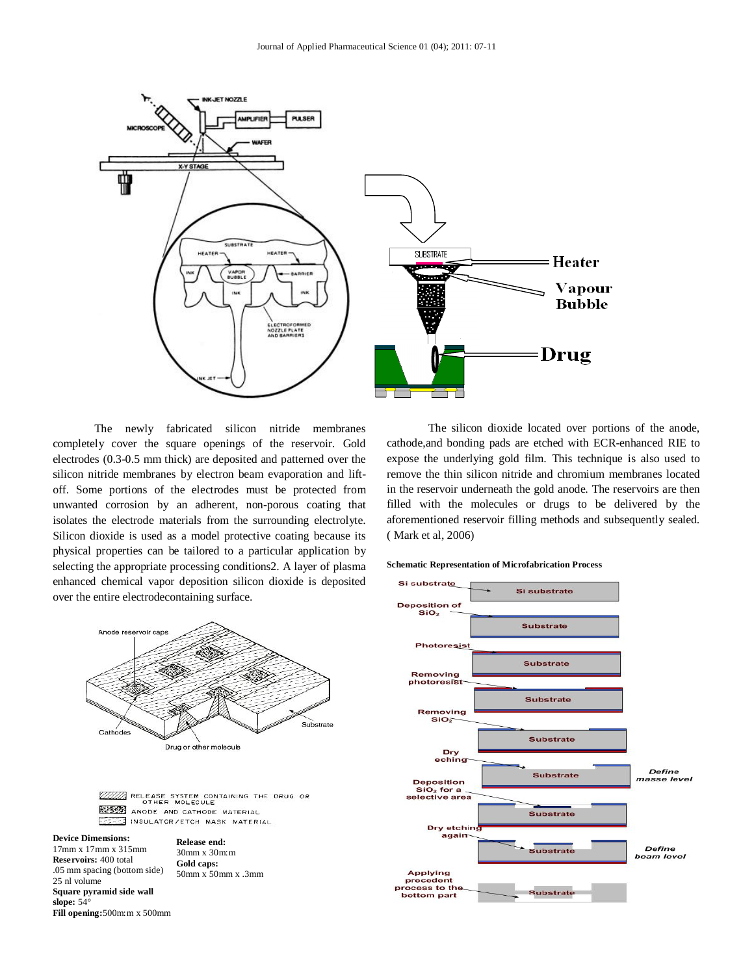

The newly fabricated silicon nitride membranes completely cover the square openings of the reservoir. Gold electrodes (0.3-0.5 mm thick) are deposited and patterned over the silicon nitride membranes by electron beam evaporation and liftoff. Some portions of the electrodes must be protected from unwanted corrosion by an adherent, non-porous coating that isolates the electrode materials from the surrounding electrolyte. Silicon dioxide is used as a model protective coating because its physical properties can be tailored to a particular application by selecting the appropriate processing conditions2. A layer of plasma enhanced chemical vapor deposition silicon dioxide is deposited over the entire electrodecontaining surface.



WILL RELEASE SYSTEM CONTAINING THE DRUG OR ANODE AND CATHODE MATERIAL FS INSULATOR/ETCH MASK MATERIAL

**Device Dimensions:** 17mm x 17mm x 315mm **Reservoirs:** 400 total .05 mm spacing (bottom side) 25 nl volume **Square pyramid side wall slope:** 54° **Fill opening:**500m:m x 500mm **Release end:** 30mm x 30m:m **Gold caps:** 50mm x 50mm x .3mm

The silicon dioxide located over portions of the anode, cathode,and bonding pads are etched with ECR-enhanced RIE to expose the underlying gold film. This technique is also used to remove the thin silicon nitride and chromium membranes located in the reservoir underneath the gold anode. The reservoirs are then filled with the molecules or drugs to be delivered by the aforementioned reservoir filling methods and subsequently sealed. ( Mark et al, 2006)

#### **Schematic Representation of Microfabrication Process**

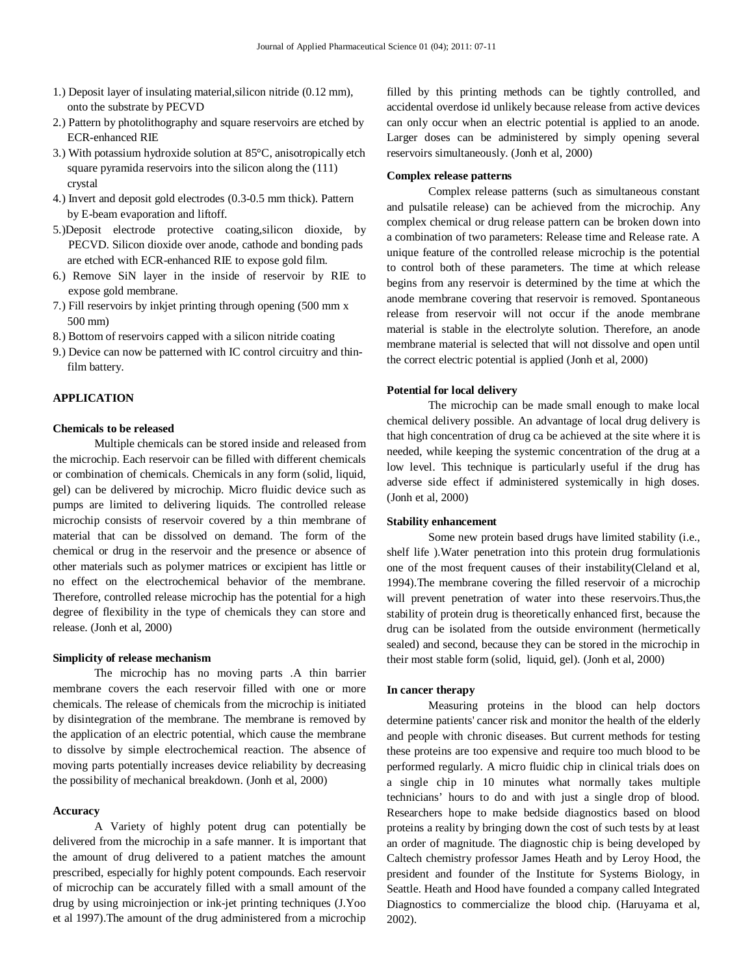- 1.) Deposit layer of insulating material,silicon nitride (0.12 mm), onto the substrate by PECVD
- 2.) Pattern by photolithography and square reservoirs are etched by ECR-enhanced RIE
- 3.) With potassium hydroxide solution at 85°C, anisotropically etch square pyramida reservoirs into the silicon along the (111) crystal
- 4.) Invert and deposit gold electrodes (0.3-0.5 mm thick). Pattern by E-beam evaporation and liftoff.
- 5.)Deposit electrode protective coating,silicon dioxide, by PECVD. Silicon dioxide over anode, cathode and bonding pads are etched with ECR-enhanced RIE to expose gold film.
- 6.) Remove SiN layer in the inside of reservoir by RIE to expose gold membrane.
- 7.) Fill reservoirs by inkjet printing through opening (500 mm x 500 mm)
- 8.) Bottom of reservoirs capped with a silicon nitride coating
- 9.) Device can now be patterned with IC control circuitry and thin film battery.

#### **APPLICATION**

#### **Chemicals to be released**

Multiple chemicals can be stored inside and released from the microchip. Each reservoir can be filled with different chemicals or combination of chemicals. Chemicals in any form (solid, liquid, gel) can be delivered by microchip. Micro fluidic device such as pumps are limited to delivering liquids. The controlled release microchip consists of reservoir covered by a thin membrane of material that can be dissolved on demand. The form of the chemical or drug in the reservoir and the presence or absence of other materials such as polymer matrices or excipient has little or no effect on the electrochemical behavior of the membrane. Therefore, controlled release microchip has the potential for a high degree of flexibility in the type of chemicals they can store and release. (Jonh et al, 2000)

#### **Simplicity of release mechanism**

The microchip has no moving parts .A thin barrier membrane covers the each reservoir filled with one or more chemicals. The release of chemicals from the microchip is initiated by disintegration of the membrane. The membrane is removed by the application of an electric potential, which cause the membrane to dissolve by simple electrochemical reaction. The absence of moving parts potentially increases device reliability by decreasing the possibility of mechanical breakdown. (Jonh et al, 2000)

#### **Accuracy**

A Variety of highly potent drug can potentially be delivered from the microchip in a safe manner. It is important that the amount of drug delivered to a patient matches the amount prescribed, especially for highly potent compounds. Each reservoir of microchip can be accurately filled with a small amount of the drug by using microinjection or ink-jet printing techniques (J.Yoo et al 1997).The amount of the drug administered from a microchip

filled by this printing methods can be tightly controlled, and accidental overdose id unlikely because release from active devices can only occur when an electric potential is applied to an anode. Larger doses can be administered by simply opening several reservoirs simultaneously. (Jonh et al, 2000)

#### **Complex release patterns**

Complex release patterns (such as simultaneous constant and pulsatile release) can be achieved from the microchip. Any complex chemical or drug release pattern can be broken down into a combination of two parameters: Release time and Release rate. A unique feature of the controlled release microchip is the potential to control both of these parameters. The time at which release begins from any reservoir is determined by the time at which the anode membrane covering that reservoir is removed. Spontaneous release from reservoir will not occur if the anode membrane material is stable in the electrolyte solution. Therefore, an anode membrane material is selected that will not dissolve and open until the correct electric potential is applied (Jonh et al, 2000)

#### **Potential for local delivery**

The microchip can be made small enough to make local chemical delivery possible. An advantage of local drug delivery is that high concentration of drug ca be achieved at the site where it is needed, while keeping the systemic concentration of the drug at a low level. This technique is particularly useful if the drug has adverse side effect if administered systemically in high doses. (Jonh et al, 2000)

#### **Stability enhancement**

Some new protein based drugs have limited stability (i.e., shelf life ).Water penetration into this protein drug formulationis one of the most frequent causes of their instability(Cleland et al, 1994).The membrane covering the filled reservoir of a microchip will prevent penetration of water into these reservoirs.Thus,the stability of protein drug is theoretically enhanced first, because the drug can be isolated from the outside environment (hermetically sealed) and second, because they can be stored in the microchip in their most stable form (solid, liquid, gel). (Jonh et al, 2000)

#### **In cancer therapy**

Measuring proteins in the blood can help doctors determine patients' cancer risk and monitor the health of the elderly and people with chronic diseases. But current methods for testing these proteins are too expensive and require too much blood to be performed regularly. A micro fluidic chip in clinical trials does on a single chip in 10 minutes what normally takes multiple technicians' hours to do and with just a single drop of blood. Researchers hope to make bedside diagnostics based on blood proteins a reality by bringing down the cost of such tests by at least an order of magnitude. The diagnostic chip is being developed by Caltech chemistry professor James Heath and by Leroy Hood, the president and founder of the Institute for Systems Biology, in Seattle. Heath and Hood have founded a company called Integrated Diagnostics to commercialize the blood chip. (Haruyama et al, 2002).